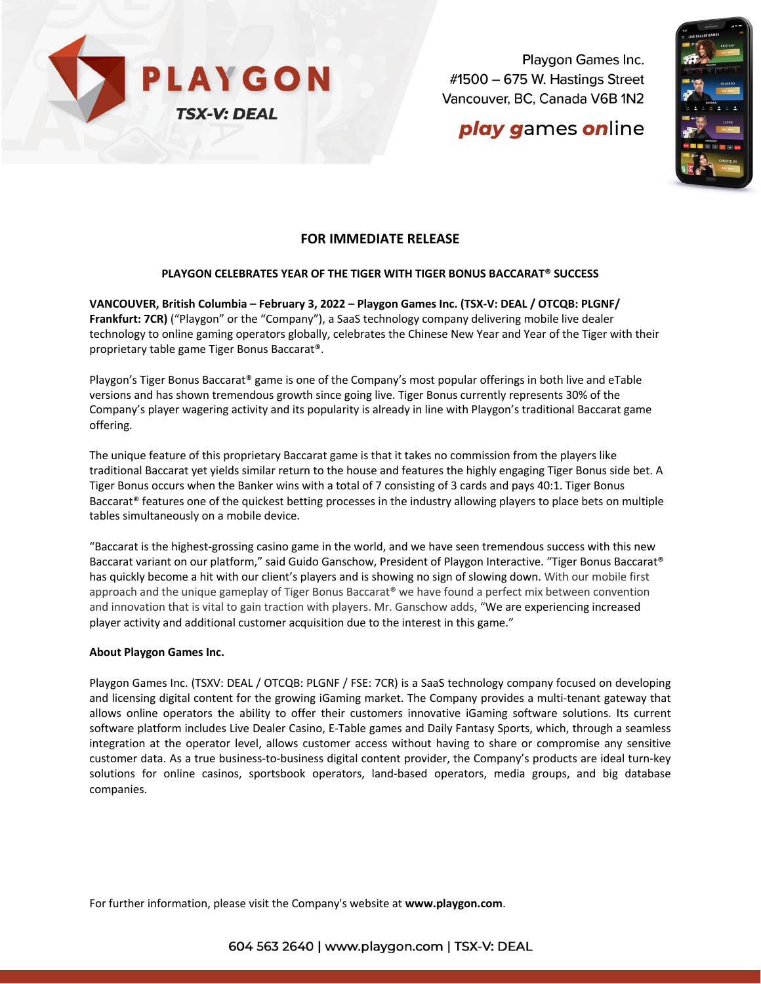

Playgon Games Inc. #1500 - 675 W. Hastings Street Vancouver, BC, Canada V6B 1N2

# **play games online**



## **FOR IMMEDIATE RELEASE**

## **PLAYGON CELEBRATES YEAR OF THE TIGER WITH TIGER BONUS BACCARAT® SUCCESS**

**VANCOUVER, British Columbia – February 3, 2022 – Playgon Games Inc. (TSX-V: DEAL / OTCQB: PLGNF/ Frankfurt: 7CR)** ("Playgon" or the "Company"), a SaaS technology company delivering mobile live dealer technology to online gaming operators globally, celebrates the Chinese New Year and Year of the Tiger with their proprietary table game Tiger Bonus Baccarat®.

Playgon's Tiger Bonus Baccarat® game is one of the Company's most popular offerings in both live and eTable versions and has shown tremendous growth since going live. Tiger Bonus currently represents 30% of the Company's player wagering activity and its popularity is already in line with Playgon's traditional Baccarat game offering.

The unique feature of this proprietary Baccarat game is that it takes no commission from the players like traditional Baccarat yet yields similar return to the house and features the highly engaging Tiger Bonus side bet. A Tiger Bonus occurs when the Banker wins with a total of 7 consisting of 3 cards and pays 40:1. Tiger Bonus Baccarat® features one of the quickest betting processes in the industry allowing players to place bets on multiple tables simultaneously on a mobile device.

"Baccarat is the highest-grossing casino game in the world, and we have seen tremendous success with this new Baccarat variant on our platform," said Guido Ganschow, President of Playgon Interactive. "Tiger Bonus Baccarat® has quickly become a hit with our client's players and is showing no sign of slowing down. With our mobile first approach and the unique gameplay of Tiger Bonus Baccarat® we have found a perfect mix between convention and innovation that is vital to gain traction with players. Mr. Ganschow adds, "We are experiencing increased player activity and additional customer acquisition due to the interest in this game."

### **About Playgon Games Inc.**

Playgon Games Inc. (TSXV: DEAL / OTCQB: PLGNF / FSE: 7CR) is a SaaS technology company focused on developing and licensing digital content for the growing iGaming market. The Company provides a multi-tenant gateway that allows online operators the ability to offer their customers innovative iGaming software solutions. Its current software platform includes Live Dealer Casino, E-Table games and Daily Fantasy Sports, which, through a seamless integration at the operator level, allows customer access without having to share or compromise any sensitive customer data. As a true business-to-business digital content provider, the Company's products are ideal turn-key solutions for online casinos, sportsbook operators, land-based operators, media groups, and big database companies.

For further information, please visit the Company's website at **www.playgon.com**.